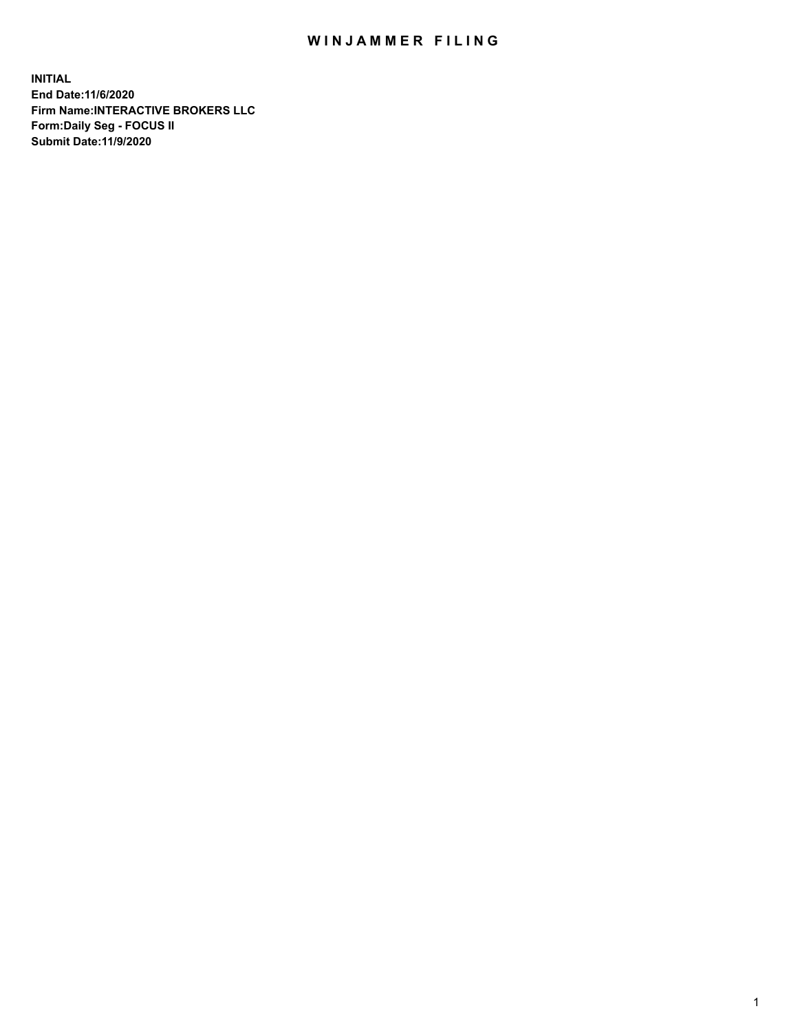## WIN JAMMER FILING

**INITIAL End Date:11/6/2020 Firm Name:INTERACTIVE BROKERS LLC Form:Daily Seg - FOCUS II Submit Date:11/9/2020**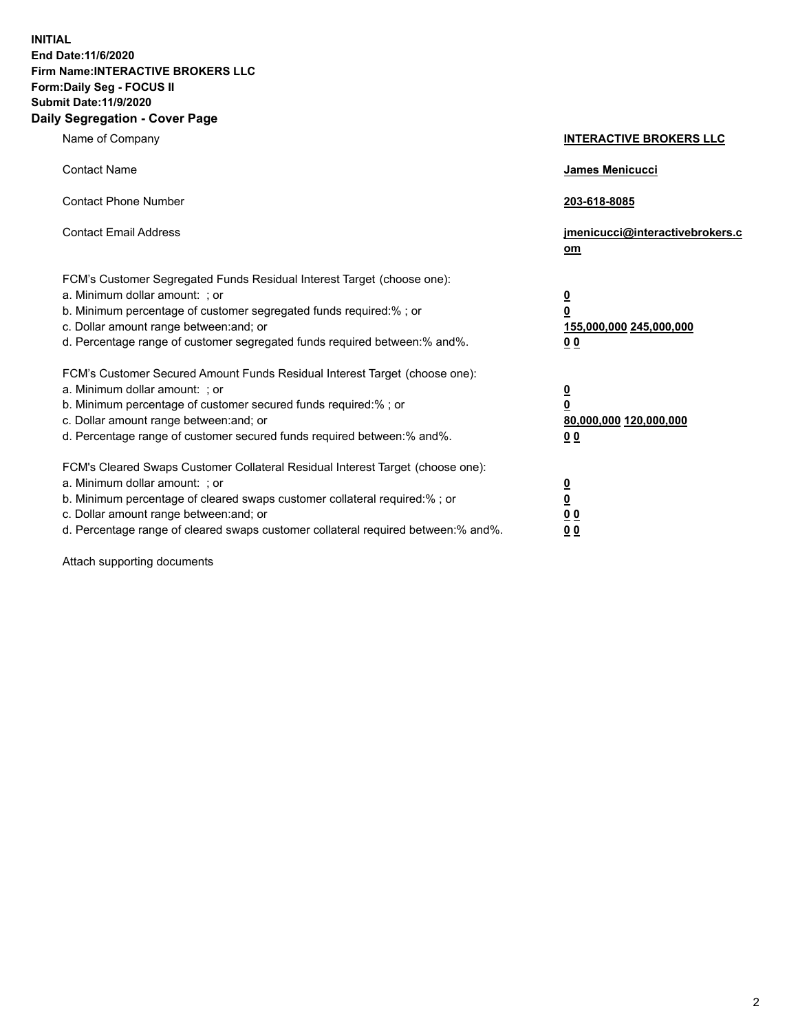**INITIAL End Date:11/6/2020 Firm Name:INTERACTIVE BROKERS LLC Form:Daily Seg - FOCUS II Submit Date:11/9/2020 Daily Segregation - Cover Page**

| Name of Company                                                                                                                                                                                                                                                                                                               | <b>INTERACTIVE BROKERS LLC</b>                                                   |  |
|-------------------------------------------------------------------------------------------------------------------------------------------------------------------------------------------------------------------------------------------------------------------------------------------------------------------------------|----------------------------------------------------------------------------------|--|
| <b>Contact Name</b>                                                                                                                                                                                                                                                                                                           | James Menicucci                                                                  |  |
| <b>Contact Phone Number</b>                                                                                                                                                                                                                                                                                                   | 203-618-8085                                                                     |  |
| <b>Contact Email Address</b>                                                                                                                                                                                                                                                                                                  | jmenicucci@interactivebrokers.c<br>om                                            |  |
| FCM's Customer Segregated Funds Residual Interest Target (choose one):<br>a. Minimum dollar amount: ; or<br>b. Minimum percentage of customer segregated funds required:% ; or<br>c. Dollar amount range between: and; or<br>d. Percentage range of customer segregated funds required between:% and%.                        | <u>0</u><br>$\overline{\mathbf{0}}$<br>155,000,000 245,000,000<br>0 <sub>0</sub> |  |
| FCM's Customer Secured Amount Funds Residual Interest Target (choose one):<br>a. Minimum dollar amount: ; or<br>b. Minimum percentage of customer secured funds required:%; or<br>c. Dollar amount range between: and; or<br>d. Percentage range of customer secured funds required between:% and%.                           | <u>0</u><br>$\overline{\mathbf{0}}$<br>80,000,000 120,000,000<br>0 <sub>0</sub>  |  |
| FCM's Cleared Swaps Customer Collateral Residual Interest Target (choose one):<br>a. Minimum dollar amount: ; or<br>b. Minimum percentage of cleared swaps customer collateral required:%; or<br>c. Dollar amount range between: and; or<br>d. Percentage range of cleared swaps customer collateral required between:% and%. | <u>0</u><br>$\underline{\mathbf{0}}$<br>0 <sub>0</sub><br>0 <sub>0</sub>         |  |

Attach supporting documents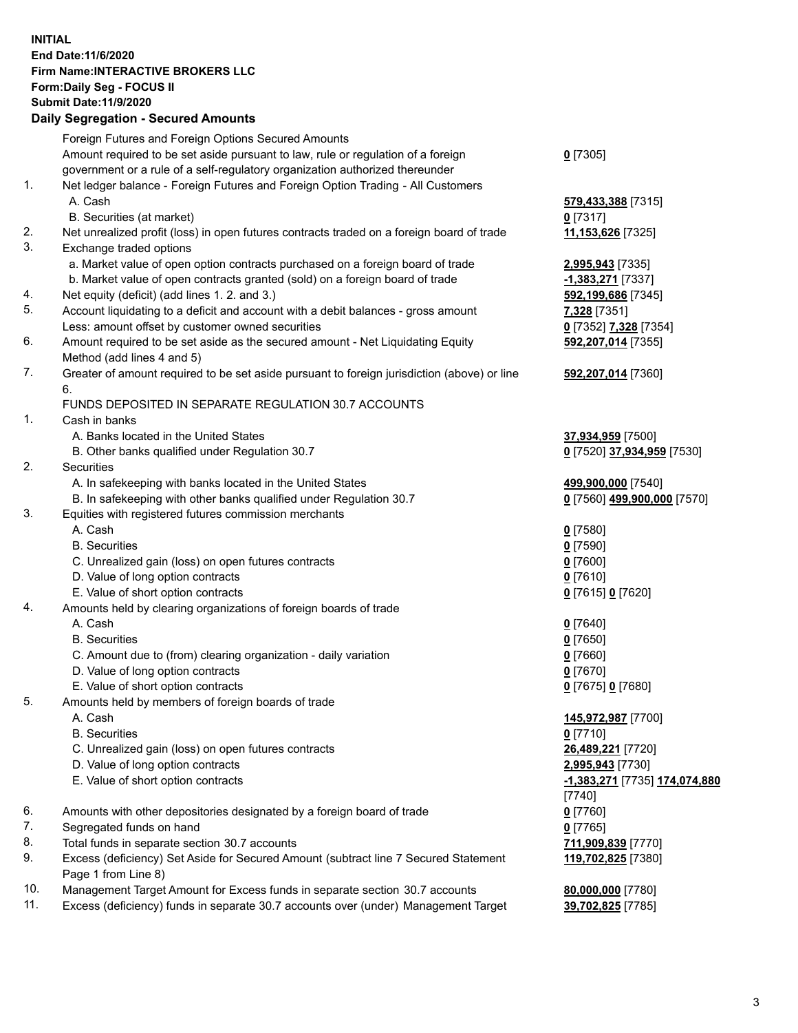**INITIAL End Date:11/6/2020 Firm Name:INTERACTIVE BROKERS LLC Form:Daily Seg - FOCUS II Submit Date:11/9/2020 Daily Segregation - Secured Amounts**

## Foreign Futures and Foreign Options Secured Amounts Amount required to be set aside pursuant to law, rule or regulation of a foreign government or a rule of a self-regulatory organization authorized thereunder **0** [7305] 1. Net ledger balance - Foreign Futures and Foreign Option Trading - All Customers A. Cash **579,433,388** [7315] B. Securities (at market) **0** [7317] 2. Net unrealized profit (loss) in open futures contracts traded on a foreign board of trade **11,153,626** [7325] 3. Exchange traded options a. Market value of open option contracts purchased on a foreign board of trade **2,995,943** [7335] b. Market value of open contracts granted (sold) on a foreign board of trade **-1,383,271** [7337] 4. Net equity (deficit) (add lines 1. 2. and 3.) **592,199,686** [7345] 5. Account liquidating to a deficit and account with a debit balances - gross amount **7,328** [7351] Less: amount offset by customer owned securities **0** [7352] **7,328** [7354] 6. Amount required to be set aside as the secured amount - Net Liquidating Equity Method (add lines 4 and 5) **592,207,014** [7355] 7. Greater of amount required to be set aside pursuant to foreign jurisdiction (above) or line 6. **592,207,014** [7360] FUNDS DEPOSITED IN SEPARATE REGULATION 30.7 ACCOUNTS 1. Cash in banks A. Banks located in the United States **37,934,959** [7500] B. Other banks qualified under Regulation 30.7 **0** [7520] **37,934,959** [7530] 2. Securities A. In safekeeping with banks located in the United States **499,900,000** [7540] B. In safekeeping with other banks qualified under Regulation 30.7 **0** [7560] **499,900,000** [7570] 3. Equities with registered futures commission merchants A. Cash **0** [7580] B. Securities **0** [7590] C. Unrealized gain (loss) on open futures contracts **0** [7600] D. Value of long option contracts **0** [7610] E. Value of short option contracts **0** [7615] **0** [7620] 4. Amounts held by clearing organizations of foreign boards of trade A. Cash **0** [7640] B. Securities **0** [7650] C. Amount due to (from) clearing organization - daily variation **0** [7660] D. Value of long option contracts **0** [7670] E. Value of short option contracts **0** [7675] **0** [7680] 5. Amounts held by members of foreign boards of trade A. Cash **145,972,987** [7700] B. Securities **0** [7710] C. Unrealized gain (loss) on open futures contracts **26,489,221** [7720] D. Value of long option contracts **2,995,943** [7730] E. Value of short option contracts **-1,383,271** [7735] **174,074,880** [7740] 6. Amounts with other depositories designated by a foreign board of trade **0** [7760] 7. Segregated funds on hand **0** [7765] 8. Total funds in separate section 30.7 accounts **711,909,839** [7770] 9. Excess (deficiency) Set Aside for Secured Amount (subtract line 7 Secured Statement Page 1 from Line 8) **119,702,825** [7380] 10. Management Target Amount for Excess funds in separate section 30.7 accounts **80,000,000** [7780] 11. Excess (deficiency) funds in separate 30.7 accounts over (under) Management Target **39,702,825** [7785]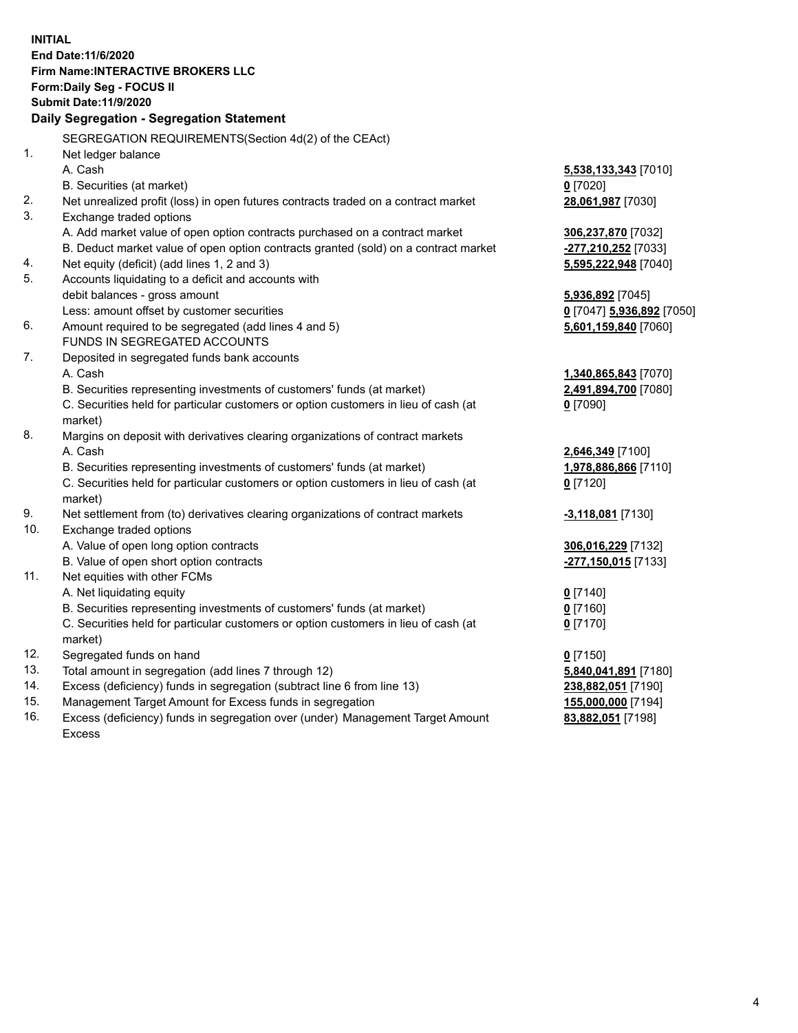**INITIAL End Date:11/6/2020 Firm Name:INTERACTIVE BROKERS LLC Form:Daily Seg - FOCUS II Submit Date:11/9/2020 Daily Segregation - Segregation Statement** SEGREGATION REQUIREMENTS(Section 4d(2) of the CEAct) 1. Net ledger balance A. Cash **5,538,133,343** [7010] B. Securities (at market) **0** [7020] 2. Net unrealized profit (loss) in open futures contracts traded on a contract market **28,061,987** [7030] 3. Exchange traded options A. Add market value of open option contracts purchased on a contract market **306,237,870** [7032] B. Deduct market value of open option contracts granted (sold) on a contract market **-277,210,252** [7033] 4. Net equity (deficit) (add lines 1, 2 and 3) **5,595,222,948** [7040] 5. Accounts liquidating to a deficit and accounts with debit balances - gross amount **5,936,892** [7045] Less: amount offset by customer securities **0** [7047] **5,936,892** [7050] 6. Amount required to be segregated (add lines 4 and 5) **5,601,159,840** [7060] FUNDS IN SEGREGATED ACCOUNTS 7. Deposited in segregated funds bank accounts A. Cash **1,340,865,843** [7070] B. Securities representing investments of customers' funds (at market) **2,491,894,700** [7080] C. Securities held for particular customers or option customers in lieu of cash (at market) **0** [7090] 8. Margins on deposit with derivatives clearing organizations of contract markets A. Cash **2,646,349** [7100] B. Securities representing investments of customers' funds (at market) **1,978,886,866** [7110] C. Securities held for particular customers or option customers in lieu of cash (at market) **0** [7120] 9. Net settlement from (to) derivatives clearing organizations of contract markets **-3,118,081** [7130] 10. Exchange traded options A. Value of open long option contracts **306,016,229** [7132] B. Value of open short option contracts **-277,150,015** [7133] 11. Net equities with other FCMs A. Net liquidating equity **0** [7140] B. Securities representing investments of customers' funds (at market) **0** [7160] C. Securities held for particular customers or option customers in lieu of cash (at market) **0** [7170] 12. Segregated funds on hand **0** [7150] 13. Total amount in segregation (add lines 7 through 12) **5,840,041,891** [7180] 14. Excess (deficiency) funds in segregation (subtract line 6 from line 13) **238,882,051** [7190] 15. Management Target Amount for Excess funds in segregation **155,000,000** [7194]

16. Excess (deficiency) funds in segregation over (under) Management Target Amount Excess

**83,882,051** [7198]